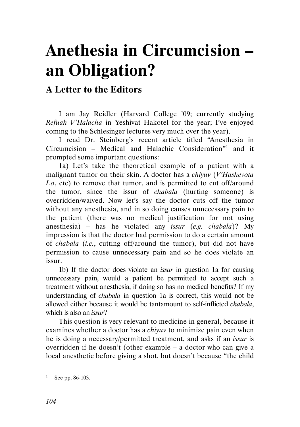## Anethesia in Circumcision – an Obligation?

## A Letter to the Editors

I am Jay Reidler (Harvard College '09; currently studying Refuah V'Halacha in Yeshivat Hakotel for the year; I've enjoyed coming to the Schlesinger lectures very much over the year).

I read Dr. Steinberg's recent article titled "Anesthesia in Circumcision – Medical and Halachic Consideration"<sup>1</sup> and it prompted some important questions:

1a) Let's take the theoretical example of a patient with a malignant tumor on their skin. A doctor has a chiyuv (V'Hashevota Lo, etc) to remove that tumor, and is permitted to cut off/around the tumor, since the issur of chabala (hurting someone) is overridden/waived. Now let's say the doctor cuts off the tumor without any anesthesia, and in so doing causes unnecessary pain to the patient (there was no medical justification for not using anesthesia) – has he violated any issur (e.g. chabala)? My impression is that the doctor had permission to do a certain amount of chabala (i.e., cutting off/around the tumor), but did not have permission to cause unnecessary pain and so he does violate an issur.

1b) If the doctor does violate an issur in question 1a for causing unnecessary pain, would a patient be permitted to accept such a treatment without anesthesia, if doing so has no medical benefits? If my understanding of chabala in question 1a is correct, this would not be allowed either because it would be tantamount to self-inflicted chabala, which is also an *issur*?

This question is very relevant to medicine in general, because it examines whether a doctor has a *chiyuv* to minimize pain even when he is doing a necessary/permitted treatment, and asks if an issur is overridden if he doesn't (other example – a doctor who can give a local anesthetic before giving a shot, but doesn't because "the child

.

<sup>&</sup>lt;sup>1</sup> See pp. 86-103.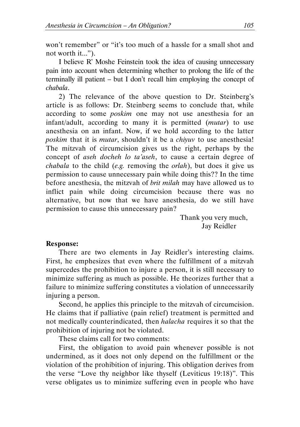won't remember" or "it's too much of a hassle for a small shot and not worth it...").

I believe R' Moshe Feinstein took the idea of causing unnecessary pain into account when determining whether to prolong the life of the terminally ill patient – but I don't recall him employing the concept of chabala.

2) The relevance of the above question to Dr. Steinberg's article is as follows: Dr. Steinberg seems to conclude that, while according to some poskim one may not use anesthesia for an infant/adult, according to many it is permitted (mutar) to use anesthesia on an infant. Now, if we hold according to the latter poskim that it is mutar, shouldn't it be a chiyuv to use anesthesia! The mitzvah of circumcision gives us the right, perhaps by the concept of aseh docheh lo ta'aseh, to cause a certain degree of *chabala* to the child (*e.g.* removing the *orlah*), but does it give us permission to cause unnecessary pain while doing this?? In the time before anesthesia, the mitzvah of brit milah may have allowed us to inflict pain while doing circumcision because there was no alternative, but now that we have anesthesia, do we still have permission to cause this unnecessary pain?

Thank you very much, Jay Reidler

## Response:

There are two elements in Jay Reidler's interesting claims. First, he emphesizes that even where the fulfillment of a mitzvah supercedes the prohibition to injure a person, it is still necessary to minimize suffering as much as possible. He theorizes further that a failure to minimize suffering constitutes a violation of unnecessarily injuring a person.

Second, he applies this principle to the mitzvah of circumcision. He claims that if palliative (pain relief) treatment is permitted and not medically counterindicated, then halacha requires it so that the prohibition of injuring not be violated.

These claims call for two comments:

First, the obligation to avoid pain whenever possible is not undermined, as it does not only depend on the fulfillment or the violation of the prohibition of injuring. This obligation derives from the verse "Love thy neighbor like thyself (Leviticus 19:18)". This verse obligates us to minimize suffering even in people who have